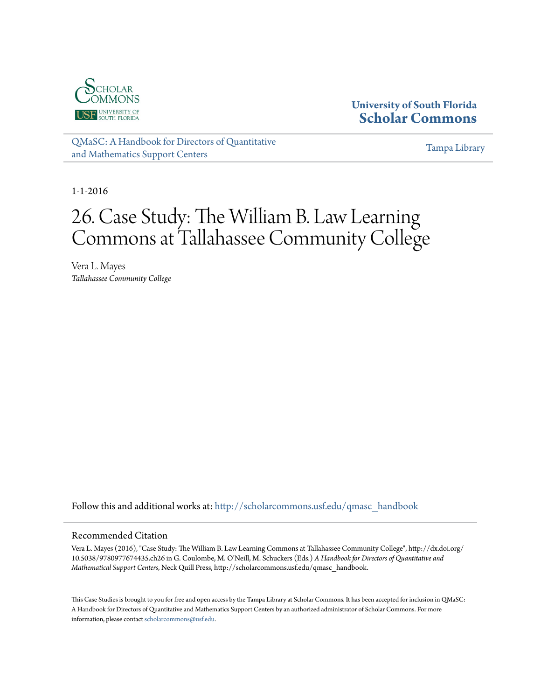

## **University of South Florida [Scholar Commons](http://scholarcommons.usf.edu?utm_source=scholarcommons.usf.edu%2Fqmasc_handbook%2F26&utm_medium=PDF&utm_campaign=PDFCoverPages)**

[QMaSC: A Handbook for Directors of Quantitative](http://scholarcommons.usf.edu/qmasc_handbook?utm_source=scholarcommons.usf.edu%2Fqmasc_handbook%2F26&utm_medium=PDF&utm_campaign=PDFCoverPages) [and Mathematics Support Centers](http://scholarcommons.usf.edu/qmasc_handbook?utm_source=scholarcommons.usf.edu%2Fqmasc_handbook%2F26&utm_medium=PDF&utm_campaign=PDFCoverPages)

[Tampa Library](http://scholarcommons.usf.edu/tlib?utm_source=scholarcommons.usf.edu%2Fqmasc_handbook%2F26&utm_medium=PDF&utm_campaign=PDFCoverPages)

1-1-2016

# 26. Case Study: The William B. Law Learning Commons at Tallahassee Community College

Vera L. Mayes *Tallahassee Community College*

Follow this and additional works at: [http://scholarcommons.usf.edu/qmasc\\_handbook](http://scholarcommons.usf.edu/qmasc_handbook?utm_source=scholarcommons.usf.edu%2Fqmasc_handbook%2F26&utm_medium=PDF&utm_campaign=PDFCoverPages)

#### Recommended Citation

Vera L. Mayes (2016), "Case Study: The William B. Law Learning Commons at Tallahassee Community College", http://dx.doi.org/ 10.5038/9780977674435.ch26 in G. Coulombe, M. O'Neill, M. Schuckers (Eds.) *A Handbook for Directors of Quantitative and Mathematical Support Centers*, Neck Quill Press, http://scholarcommons.usf.edu/qmasc\_handbook.

This Case Studies is brought to you for free and open access by the Tampa Library at Scholar Commons. It has been accepted for inclusion in QMaSC: A Handbook for Directors of Quantitative and Mathematics Support Centers by an authorized administrator of Scholar Commons. For more information, please contact [scholarcommons@usf.edu.](mailto:scholarcommons@usf.edu)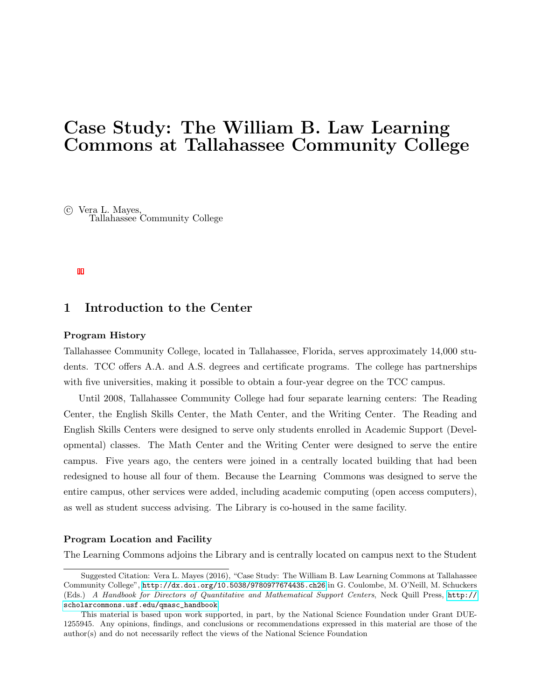## Case Study: The William B. Law Learning Commons at Tallahassee Community College

 c Vera L. Mayes, Tallahassee Community College

## 1 Introduction to the Center

#### Program History

Tallahassee Community College, located in Tallahassee, Florida, serves approximately 14,000 students. TCC offers A.A. and A.S. degrees and certificate programs. The college has partnerships with five universities, making it possible to obtain a four-year degree on the TCC campus.

Until 2008, Tallahassee Community College had four separate learning centers: The Reading Center, the English Skills Center, the Math Center, and the Writing Center. The Reading and English Skills Centers were designed to serve only students enrolled in Academic Support (Developmental) classes. The Math Center and the Writing Center were designed to serve the entire campus. Five years ago, the centers were joined in a centrally located building that had been redesigned to house all four of them. Because the Learning Commons was designed to serve the entire campus, other services were added, including academic computing (open access computers), as well as student success advising. The Library is co-housed in the same facility.

#### Program Location and Facility

The Learning Commons adjoins the Library and is centrally located on campus next to the Student

Suggested Citation: Vera L. Mayes (2016), "Case Study: The William B. Law Learning Commons at Tallahassee Community College", <http://dx.doi.org/10.5038/9780977674435.ch26> in G. Coulombe, M. O'Neill, M. Schuckers (Eds.) A Handbook for Directors of Quantitative and Mathematical Support Centers, Neck Quill Press, [http://](http://scholarcommons.usf.edu/qmasc_handbook) [scholarcommons.usf.edu/qmasc\\_handbook](http://scholarcommons.usf.edu/qmasc_handbook).

This material is based upon work supported, in part, by the National Science Foundation under Grant DUE-1255945. Any opinions, findings, and conclusions or recommendations expressed in this material are those of the author(s) and do not necessarily reflect the views of the National Science Foundation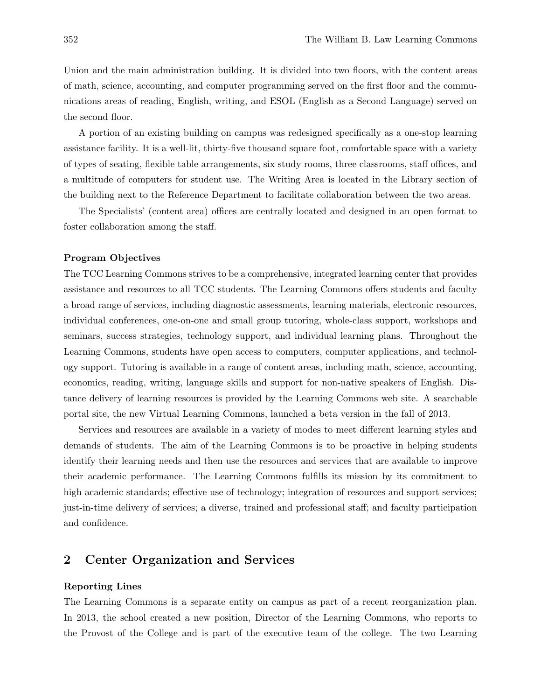Union and the main administration building. It is divided into two floors, with the content areas of math, science, accounting, and computer programming served on the first floor and the communications areas of reading, English, writing, and ESOL (English as a Second Language) served on the second floor.

A portion of an existing building on campus was redesigned specifically as a one-stop learning assistance facility. It is a well-lit, thirty-five thousand square foot, comfortable space with a variety of types of seating, flexible table arrangements, six study rooms, three classrooms, staff offices, and a multitude of computers for student use. The Writing Area is located in the Library section of the building next to the Reference Department to facilitate collaboration between the two areas.

The Specialists' (content area) offices are centrally located and designed in an open format to foster collaboration among the staff.

#### Program Objectives

The TCC Learning Commons strives to be a comprehensive, integrated learning center that provides assistance and resources to all TCC students. The Learning Commons offers students and faculty a broad range of services, including diagnostic assessments, learning materials, electronic resources, individual conferences, one-on-one and small group tutoring, whole-class support, workshops and seminars, success strategies, technology support, and individual learning plans. Throughout the Learning Commons, students have open access to computers, computer applications, and technology support. Tutoring is available in a range of content areas, including math, science, accounting, economics, reading, writing, language skills and support for non-native speakers of English. Distance delivery of learning resources is provided by the Learning Commons web site. A searchable portal site, the new Virtual Learning Commons, launched a beta version in the fall of 2013.

Services and resources are available in a variety of modes to meet different learning styles and demands of students. The aim of the Learning Commons is to be proactive in helping students identify their learning needs and then use the resources and services that are available to improve their academic performance. The Learning Commons fulfills its mission by its commitment to high academic standards; effective use of technology; integration of resources and support services; just-in-time delivery of services; a diverse, trained and professional staff; and faculty participation and confidence.

## 2 Center Organization and Services

#### Reporting Lines

The Learning Commons is a separate entity on campus as part of a recent reorganization plan. In 2013, the school created a new position, Director of the Learning Commons, who reports to the Provost of the College and is part of the executive team of the college. The two Learning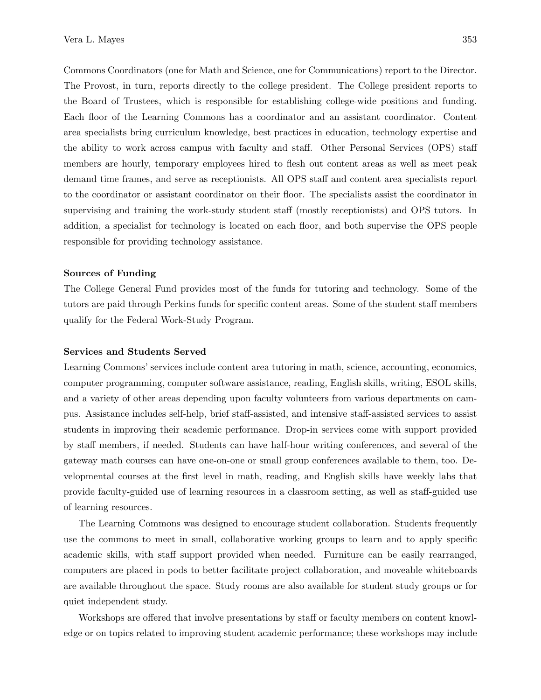Commons Coordinators (one for Math and Science, one for Communications) report to the Director. The Provost, in turn, reports directly to the college president. The College president reports to the Board of Trustees, which is responsible for establishing college-wide positions and funding. Each floor of the Learning Commons has a coordinator and an assistant coordinator. Content area specialists bring curriculum knowledge, best practices in education, technology expertise and the ability to work across campus with faculty and staff. Other Personal Services (OPS) staff members are hourly, temporary employees hired to flesh out content areas as well as meet peak demand time frames, and serve as receptionists. All OPS staff and content area specialists report to the coordinator or assistant coordinator on their floor. The specialists assist the coordinator in supervising and training the work-study student staff (mostly receptionists) and OPS tutors. In addition, a specialist for technology is located on each floor, and both supervise the OPS people responsible for providing technology assistance.

#### Sources of Funding

The College General Fund provides most of the funds for tutoring and technology. Some of the tutors are paid through Perkins funds for specific content areas. Some of the student staff members qualify for the Federal Work-Study Program.

#### Services and Students Served

Learning Commons' services include content area tutoring in math, science, accounting, economics, computer programming, computer software assistance, reading, English skills, writing, ESOL skills, and a variety of other areas depending upon faculty volunteers from various departments on campus. Assistance includes self-help, brief staff-assisted, and intensive staff-assisted services to assist students in improving their academic performance. Drop-in services come with support provided by staff members, if needed. Students can have half-hour writing conferences, and several of the gateway math courses can have one-on-one or small group conferences available to them, too. Developmental courses at the first level in math, reading, and English skills have weekly labs that provide faculty-guided use of learning resources in a classroom setting, as well as staff-guided use of learning resources.

The Learning Commons was designed to encourage student collaboration. Students frequently use the commons to meet in small, collaborative working groups to learn and to apply specific academic skills, with staff support provided when needed. Furniture can be easily rearranged, computers are placed in pods to better facilitate project collaboration, and moveable whiteboards are available throughout the space. Study rooms are also available for student study groups or for quiet independent study.

Workshops are offered that involve presentations by staff or faculty members on content knowledge or on topics related to improving student academic performance; these workshops may include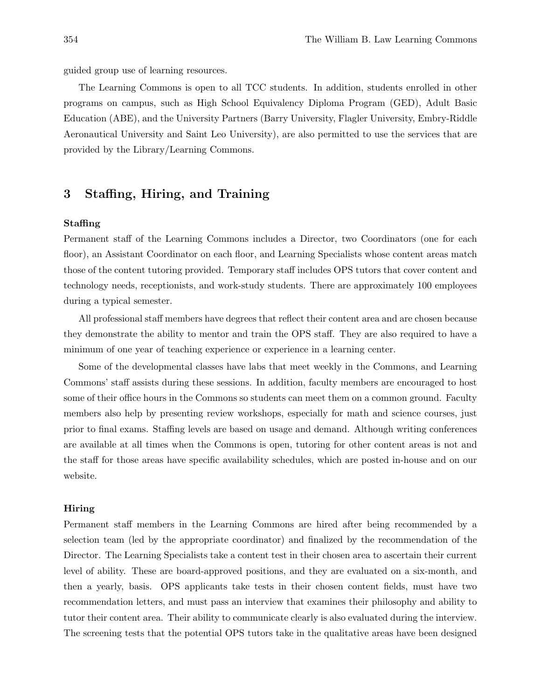guided group use of learning resources.

The Learning Commons is open to all TCC students. In addition, students enrolled in other programs on campus, such as High School Equivalency Diploma Program (GED), Adult Basic Education (ABE), and the University Partners (Barry University, Flagler University, Embry-Riddle Aeronautical University and Saint Leo University), are also permitted to use the services that are provided by the Library/Learning Commons.

## 3 Staffing, Hiring, and Training

#### Staffing

Permanent staff of the Learning Commons includes a Director, two Coordinators (one for each floor), an Assistant Coordinator on each floor, and Learning Specialists whose content areas match those of the content tutoring provided. Temporary staff includes OPS tutors that cover content and technology needs, receptionists, and work-study students. There are approximately 100 employees during a typical semester.

All professional staff members have degrees that reflect their content area and are chosen because they demonstrate the ability to mentor and train the OPS staff. They are also required to have a minimum of one year of teaching experience or experience in a learning center.

Some of the developmental classes have labs that meet weekly in the Commons, and Learning Commons' staff assists during these sessions. In addition, faculty members are encouraged to host some of their office hours in the Commons so students can meet them on a common ground. Faculty members also help by presenting review workshops, especially for math and science courses, just prior to final exams. Staffing levels are based on usage and demand. Although writing conferences are available at all times when the Commons is open, tutoring for other content areas is not and the staff for those areas have specific availability schedules, which are posted in-house and on our website.

#### Hiring

Permanent staff members in the Learning Commons are hired after being recommended by a selection team (led by the appropriate coordinator) and finalized by the recommendation of the Director. The Learning Specialists take a content test in their chosen area to ascertain their current level of ability. These are board-approved positions, and they are evaluated on a six-month, and then a yearly, basis. OPS applicants take tests in their chosen content fields, must have two recommendation letters, and must pass an interview that examines their philosophy and ability to tutor their content area. Their ability to communicate clearly is also evaluated during the interview. The screening tests that the potential OPS tutors take in the qualitative areas have been designed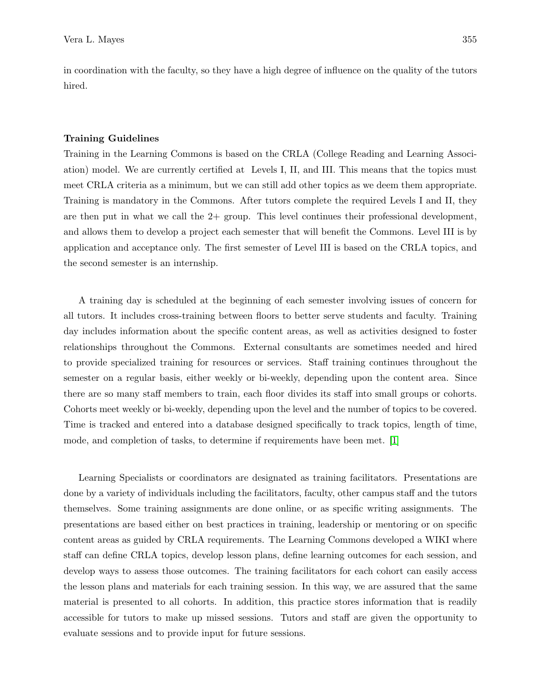in coordination with the faculty, so they have a high degree of influence on the quality of the tutors hired.

#### Training Guidelines

Training in the Learning Commons is based on the CRLA (College Reading and Learning Association) model. We are currently certified at Levels I, II, and III. This means that the topics must meet CRLA criteria as a minimum, but we can still add other topics as we deem them appropriate. Training is mandatory in the Commons. After tutors complete the required Levels I and II, they are then put in what we call the  $2+$  group. This level continues their professional development, and allows them to develop a project each semester that will benefit the Commons. Level III is by application and acceptance only. The first semester of Level III is based on the CRLA topics, and the second semester is an internship.

A training day is scheduled at the beginning of each semester involving issues of concern for all tutors. It includes cross-training between floors to better serve students and faculty. Training day includes information about the specific content areas, as well as activities designed to foster relationships throughout the Commons. External consultants are sometimes needed and hired to provide specialized training for resources or services. Staff training continues throughout the semester on a regular basis, either weekly or bi-weekly, depending upon the content area. Since there are so many staff members to train, each floor divides its staff into small groups or cohorts. Cohorts meet weekly or bi-weekly, depending upon the level and the number of topics to be covered. Time is tracked and entered into a database designed specifically to track topics, length of time, mode, and completion of tasks, to determine if requirements have been met. [1]

Learning Specialists or coordinators are designated as training facilitators. Presentations are done by a variety of individuals including the facilitators, faculty, other campus staff and the tutors themselves. Some training assignments are done online, or as specific writing assignments. The presentations are based either on best practices in training, leadership or mentoring or on specific content areas as guided by CRLA requirements. The Learning Commons developed a WIKI where staff can define CRLA topics, develop lesson plans, define learning outcomes for each session, and develop ways to assess those outcomes. The training facilitators for each cohort can easily access the lesson plans and materials for each training session. In this way, we are assured that the same material is presented to all cohorts. In addition, this practice stores information that is readily accessible for tutors to make up missed sessions. Tutors and staff are given the opportunity to evaluate sessions and to provide input for future sessions.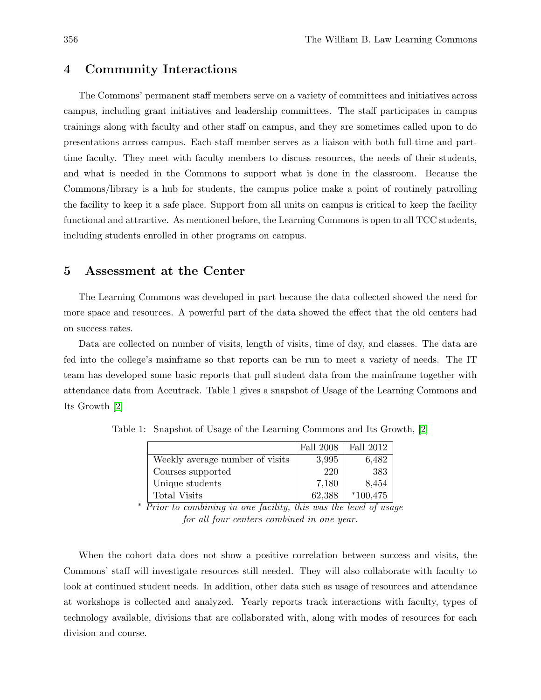## 4 Community Interactions

The Commons' permanent staff members serve on a variety of committees and initiatives across campus, including grant initiatives and leadership committees. The staff participates in campus trainings along with faculty and other staff on campus, and they are sometimes called upon to do presentations across campus. Each staff member serves as a liaison with both full-time and parttime faculty. They meet with faculty members to discuss resources, the needs of their students, and what is needed in the Commons to support what is done in the classroom. Because the Commons/library is a hub for students, the campus police make a point of routinely patrolling the facility to keep it a safe place. Support from all units on campus is critical to keep the facility functional and attractive. As mentioned before, the Learning Commons is open to all TCC students, including students enrolled in other programs on campus.

### 5 Assessment at the Center

The Learning Commons was developed in part because the data collected showed the need for more space and resources. A powerful part of the data showed the effect that the old centers had on success rates.

Data are collected on number of visits, length of visits, time of day, and classes. The data are fed into the college's mainframe so that reports can be run to meet a variety of needs. The IT team has developed some basic reports that pull student data from the mainframe together with attendance data from Accutrack. Table 1 gives a snapshot of Usage of the Learning Commons and Its Growth [2]

|                                 | <b>Fall 2008</b> | Fall 2012  |
|---------------------------------|------------------|------------|
| Weekly average number of visits | 3,995            | 6,482      |
| Courses supported               | 220              | 383        |
| Unique students                 | 7,180            | 8,454      |
| <b>Total Visits</b>             | 62,388           | $*100,475$ |

Table 1: Snapshot of Usage of the Learning Commons and Its Growth, [2]

<sup>∗</sup> Prior to combining in one facility, this was the level of usage for all four centers combined in one year.

When the cohort data does not show a positive correlation between success and visits, the Commons' staff will investigate resources still needed. They will also collaborate with faculty to look at continued student needs. In addition, other data such as usage of resources and attendance at workshops is collected and analyzed. Yearly reports track interactions with faculty, types of technology available, divisions that are collaborated with, along with modes of resources for each division and course.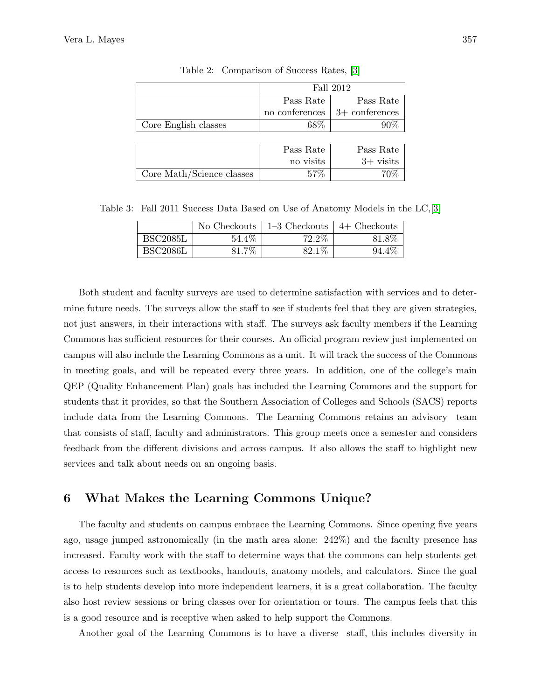|                           | Fall 2012      |                  |
|---------------------------|----------------|------------------|
|                           | Pass Rate      | Pass Rate        |
|                           | no conferences | $3+$ conferences |
| Core English classes      | 68\%           | 90%              |
|                           |                |                  |
|                           | Pass Rate      | Pass Rate        |
|                           | no visits      | $3+$ visits      |
| Core Math/Science classes | 57\%           | 70%              |

Table 2: Comparison of Success Rates, [3]

Table 3: Fall 2011 Success Data Based on Use of Anatomy Models in the LC,[3]

|                 | No Checkouts | $1-3$ Checkouts | $4+$ Checkouts |
|-----------------|--------------|-----------------|----------------|
| BSC2085L        | 54.4%        | 72.2\%          | 81.8%          |
| <b>BSC2086L</b> | $31.7\%$     | 82.1\%          | $94.4\%$       |

Both student and faculty surveys are used to determine satisfaction with services and to determine future needs. The surveys allow the staff to see if students feel that they are given strategies, not just answers, in their interactions with staff. The surveys ask faculty members if the Learning Commons has sufficient resources for their courses. An official program review just implemented on campus will also include the Learning Commons as a unit. It will track the success of the Commons in meeting goals, and will be repeated every three years. In addition, one of the college's main QEP (Quality Enhancement Plan) goals has included the Learning Commons and the support for students that it provides, so that the Southern Association of Colleges and Schools (SACS) reports include data from the Learning Commons. The Learning Commons retains an advisory team that consists of staff, faculty and administrators. This group meets once a semester and considers feedback from the different divisions and across campus. It also allows the staff to highlight new services and talk about needs on an ongoing basis.

## 6 What Makes the Learning Commons Unique?

The faculty and students on campus embrace the Learning Commons. Since opening five years ago, usage jumped astronomically (in the math area alone: 242%) and the faculty presence has increased. Faculty work with the staff to determine ways that the commons can help students get access to resources such as textbooks, handouts, anatomy models, and calculators. Since the goal is to help students develop into more independent learners, it is a great collaboration. The faculty also host review sessions or bring classes over for orientation or tours. The campus feels that this is a good resource and is receptive when asked to help support the Commons.

Another goal of the Learning Commons is to have a diverse staff, this includes diversity in